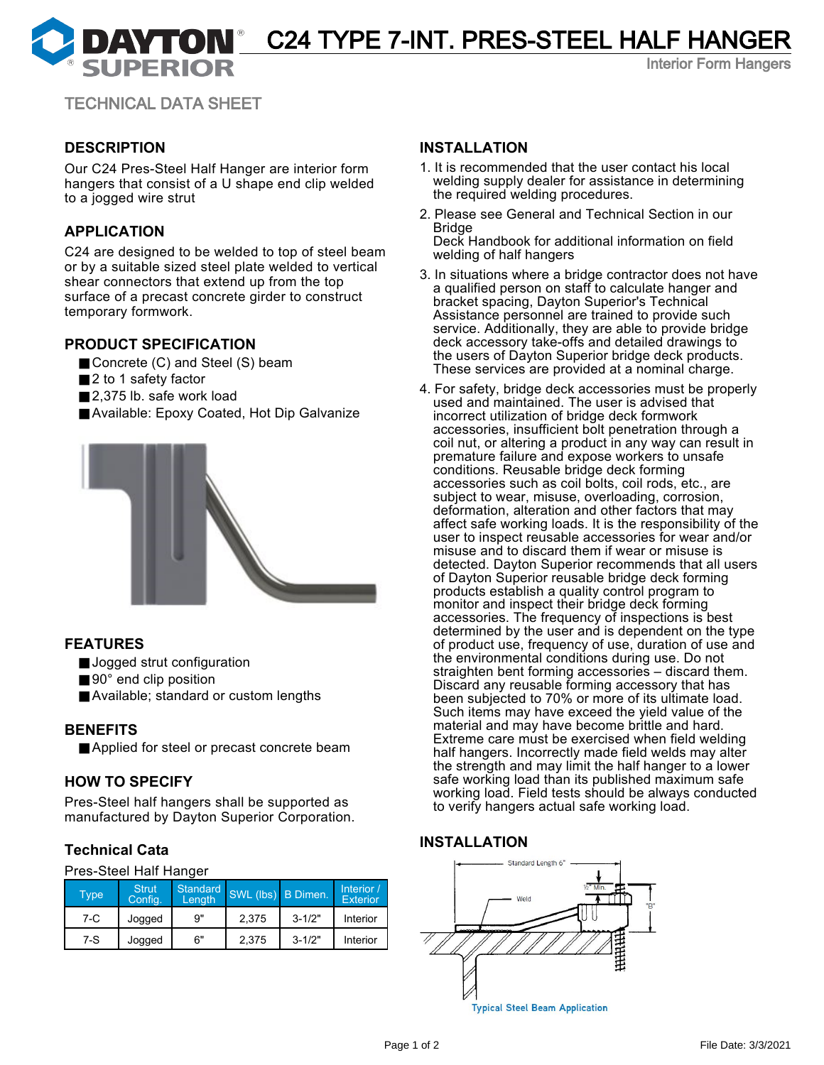**DAYTON** C24 TYPE 7-INT. PRES-STEEL HALF HANGER

Interior Form Hangers

TECHNICAL DATA SHEET

# **DESCRIPTION**

Our C24 Pres-Steel Half Hanger are interior form hangers that consist of a U shape end clip welded to a jogged wire strut

# **APPLICATION**

C24 are designed to be welded to top of steel beam or by a suitable sized steel plate welded to vertical shear connectors that extend up from the top surface of a precast concrete girder to construct temporary formwork.

# **PRODUCT SPECIFICATION**

- Concrete (C) and Steel (S) beam
- 2 to 1 safety factor
- 2,375 lb. safe work load
- Available: Epoxy Coated, Hot Dip Galvanize



# **FEATURES**

- Jogged strut configuration
- 90° end clip position
- Available; standard or custom lengths

#### **BENEFITS**

■ Applied for steel or precast concrete beam

# **HOW TO SPECIFY**

Pres-Steel half hangers shall be supported as manufactured by Dayton Superior Corporation.

# **Technical Cata**

#### Pres-Steel Half Hanger

| <b>Type</b> | <b>Strut</b><br>Config. | Length | Standard SWL (lbs) B Dimen. |            | Interior /<br><b>Exterior</b> |
|-------------|-------------------------|--------|-----------------------------|------------|-------------------------------|
| $7-C$       | Jogged                  | 9"     | 2.375                       | $3 - 1/2"$ | Interior                      |
| $7-S$       | Jogged                  | 6"     | 2,375                       | $3 - 1/2"$ | <b>Interior</b>               |

#### **INSTALLATION**

- 1. It is recommended that the user contact his local welding supply dealer for assistance in determining the required welding procedures.
- 2. Please see General and Technical Section in our Bridge

Deck Handbook for additional information on field welding of half hangers

- 3. In situations where a bridge contractor does not have a qualified person on staff to calculate hanger and bracket spacing, Dayton Superior's Technical Assistance personnel are trained to provide such service. Additionally, they are able to provide bridge deck accessory take-offs and detailed drawings to the users of Dayton Superior bridge deck products. These services are provided at a nominal charge.
- 4. For safety, bridge deck accessories must be properly used and maintained. The user is advised that incorrect utilization of bridge deck formwork accessories, insufficient bolt penetration through a coil nut, or altering a product in any way can result in premature failure and expose workers to unsafe conditions. Reusable bridge deck forming accessories such as coil bolts, coil rods, etc., are subject to wear, misuse, overloading, corrosion, deformation, alteration and other factors that may affect safe working loads. It is the responsibility of the user to inspect reusable accessories for wear and/or misuse and to discard them if wear or misuse is detected. Dayton Superior recommends that all users of Dayton Superior reusable bridge deck forming products establish a quality control program to monitor and inspect their bridge deck forming accessories. The frequency of inspections is best determined by the user and is dependent on the type of product use, frequency of use, duration of use and the environmental conditions during use. Do not straighten bent forming accessories – discard them. Discard any reusable forming accessory that has been subjected to 70% or more of its ultimate load. Such items may have exceed the yield value of the material and may have become brittle and hard. Extreme care must be exercised when field welding half hangers. Incorrectly made field welds may alter the strength and may limit the half hanger to a lower safe working load than its published maximum safe working load. Field tests should be always conducted to verify hangers actual safe working load.

#### **INSTALLATION**